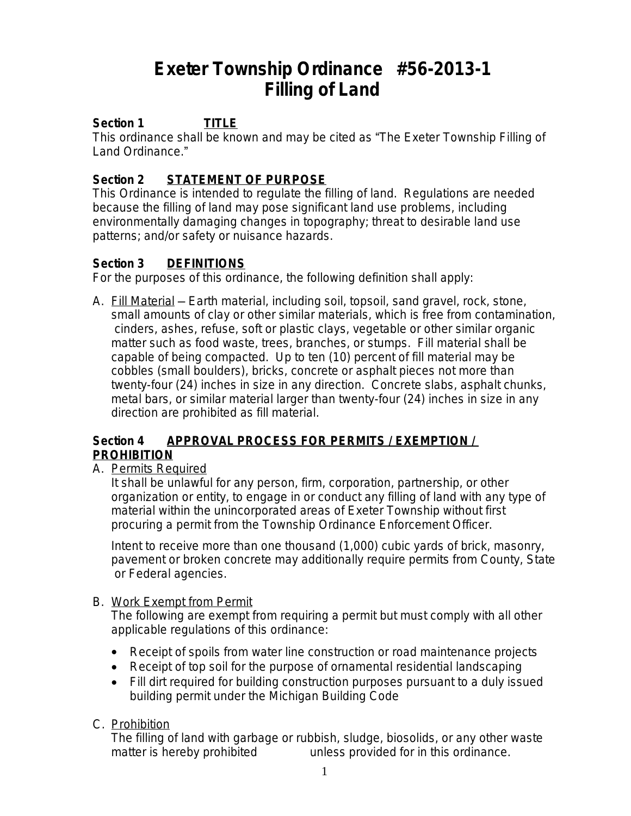# **Exeter Township Ordinance #56-2013-1 Filling of Land**

# **Section 1 TITLE**

This ordinance shall be known and may be cited as "The Exeter Township Filling of Land Ordinance."

#### **Section 2 STATEMENT OF PURPOSE**

This Ordinance is intended to regulate the filling of land. Regulations are needed because the filling of land may pose significant land use problems, including environmentally damaging changes in topography; threat to desirable land use patterns; and/or safety or nuisance hazards.

#### **Section 3 DEFINITIONS**

For the purposes of this ordinance, the following definition shall apply:

A. Fill Material — Earth material, including soil, topsoil, sand gravel, rock, stone, small amounts of clay or other similar materials, which is free from contamination, cinders, ashes, refuse, soft or plastic clays, vegetable or other similar organic matter such as food waste, trees, branches, or stumps. Fill material shall be capable of being compacted. Up to ten (10) percent of fill material may be cobbles (small boulders), bricks, concrete or asphalt pieces not more than twenty-four (24) inches in size in any direction. Concrete slabs, asphalt chunks, metal bars, or similar material larger than twenty-four (24) inches in size in any direction are prohibited as fill material.

#### **Section 4 APPROVAL PROCESS FOR PERMITS / EXEMPTION / PROHIBITION**

#### A. Permits Required

It shall be unlawful for any person, firm, corporation, partnership, or other organization or entity, to engage in or conduct any filling of land with any type of material within the unincorporated areas of Exeter Township without first procuring a permit from the Township Ordinance Enforcement Officer.

Intent to receive more than one thousand (1,000) cubic yards of brick, masonry, pavement or broken concrete may additionally require permits from County, State or Federal agencies.

#### B. Work Exempt from Permit

The following are exempt from requiring a permit but must comply with all other applicable regulations of this ordinance:

- Receipt of spoils from water line construction or road maintenance projects
- Receipt of top soil for the purpose of ornamental residential landscaping
- Fill dirt required for building construction purposes pursuant to a duly issued building permit under the Michigan Building Code

#### C. Prohibition

The filling of land with garbage or rubbish, sludge, biosolids, or any other waste matter is hereby prohibited unless provided for in this ordinance.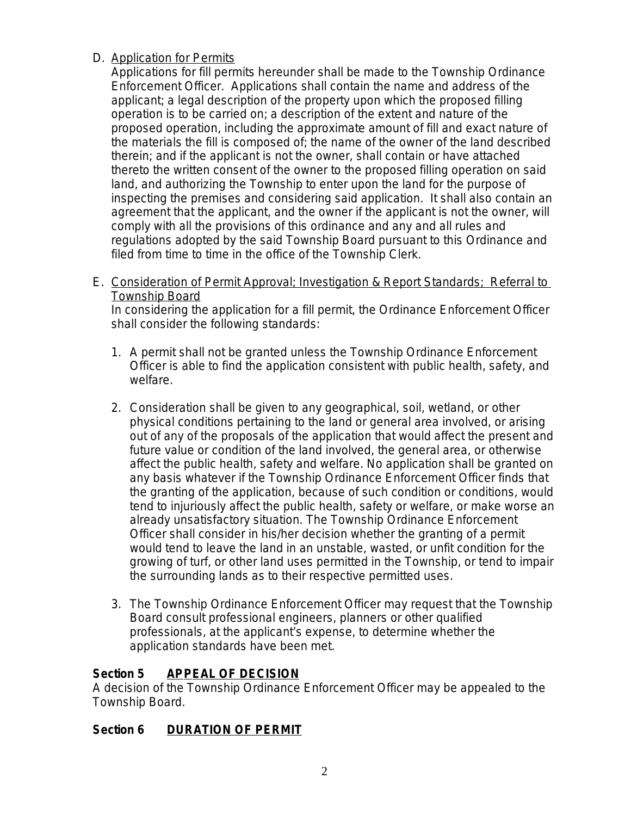## D. Application for Permits

Applications for fill permits hereunder shall be made to the Township Ordinance Enforcement Officer. Applications shall contain the name and address of the applicant; a legal description of the property upon which the proposed filling operation is to be carried on; a description of the extent and nature of the proposed operation, including the approximate amount of fill and exact nature of the materials the fill is composed of; the name of the owner of the land described therein; and if the applicant is not the owner, shall contain or have attached thereto the written consent of the owner to the proposed filling operation on said land, and authorizing the Township to enter upon the land for the purpose of inspecting the premises and considering said application. It shall also contain an agreement that the applicant, and the owner if the applicant is not the owner, will comply with all the provisions of this ordinance and any and all rules and regulations adopted by the said Township Board pursuant to this Ordinance and filed from time to time in the office of the Township Clerk.

E. Consideration of Permit Approval; Investigation & Report Standards; Referral to Township Board

In considering the application for a fill permit, the Ordinance Enforcement Officer shall consider the following standards:

- 1. A permit shall not be granted unless the Township Ordinance Enforcement Officer is able to find the application consistent with public health, safety, and welfare.
- 2. Consideration shall be given to any geographical, soil, wetland, or other physical conditions pertaining to the land or general area involved, or arising out of any of the proposals of the application that would affect the present and future value or condition of the land involved, the general area, or otherwise affect the public health, safety and welfare. No application shall be granted on any basis whatever if the Township Ordinance Enforcement Officer finds that the granting of the application, because of such condition or conditions, would tend to injuriously affect the public health, safety or welfare, or make worse an already unsatisfactory situation. The Township Ordinance Enforcement Officer shall consider in his/her decision whether the granting of a permit would tend to leave the land in an unstable, wasted, or unfit condition for the growing of turf, or other land uses permitted in the Township, or tend to impair the surrounding lands as to their respective permitted uses.
- 3. The Township Ordinance Enforcement Officer may request that the Township Board consult professional engineers, planners or other qualified professionals, at the applicant's expense, to determine whether the application standards have been met.

# **Section 5 APPEAL OF DECISION**

A decision of the Township Ordinance Enforcement Officer may be appealed to the Township Board.

# **Section 6 DURATION OF PERMIT**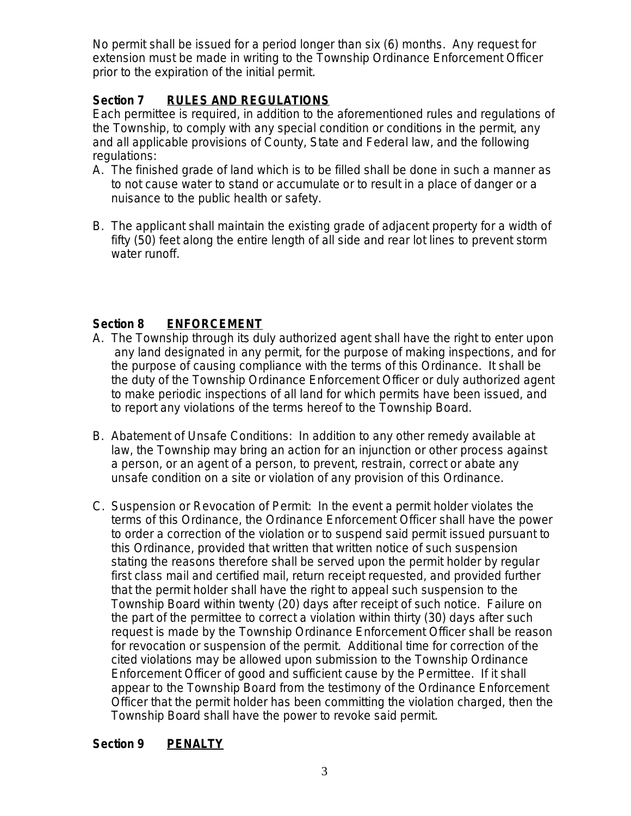No permit shall be issued for a period longer than six (6) months. Any request for extension must be made in writing to the Township Ordinance Enforcement Officer prior to the expiration of the initial permit.

# **Section 7 RULES AND REGULATIONS**

Each permittee is required, in addition to the aforementioned rules and regulations of the Township, to comply with any special condition or conditions in the permit, any and all applicable provisions of County, State and Federal law, and the following regulations:

- A. The finished grade of land which is to be filled shall be done in such a manner as to not cause water to stand or accumulate or to result in a place of danger or a nuisance to the public health or safety.
- B. The applicant shall maintain the existing grade of adjacent property for a width of fifty (50) feet along the entire length of all side and rear lot lines to prevent storm water runoff.

## **Section 8 ENFORCEMENT**

- A. The Township through its duly authorized agent shall have the right to enter upon any land designated in any permit, for the purpose of making inspections, and for the purpose of causing compliance with the terms of this Ordinance. It shall be the duty of the Township Ordinance Enforcement Officer or duly authorized agent to make periodic inspections of all land for which permits have been issued, and to report any violations of the terms hereof to the Township Board.
- B. Abatement of Unsafe Conditions: In addition to any other remedy available at law, the Township may bring an action for an injunction or other process against a person, or an agent of a person, to prevent, restrain, correct or abate any unsafe condition on a site or violation of any provision of this Ordinance.
- C. Suspension or Revocation of Permit: In the event a permit holder violates the terms of this Ordinance, the Ordinance Enforcement Officer shall have the power to order a correction of the violation or to suspend said permit issued pursuant to this Ordinance, provided that written that written notice of such suspension stating the reasons therefore shall be served upon the permit holder by regular first class mail and certified mail, return receipt requested, and provided further that the permit holder shall have the right to appeal such suspension to the Township Board within twenty (20) days after receipt of such notice. Failure on the part of the permittee to correct a violation within thirty (30) days after such request is made by the Township Ordinance Enforcement Officer shall be reason for revocation or suspension of the permit. Additional time for correction of the cited violations may be allowed upon submission to the Township Ordinance Enforcement Officer of good and sufficient cause by the Permittee. If it shall appear to the Township Board from the testimony of the Ordinance Enforcement Officer that the permit holder has been committing the violation charged, then the Township Board shall have the power to revoke said permit.

#### **Section 9 PENALTY**